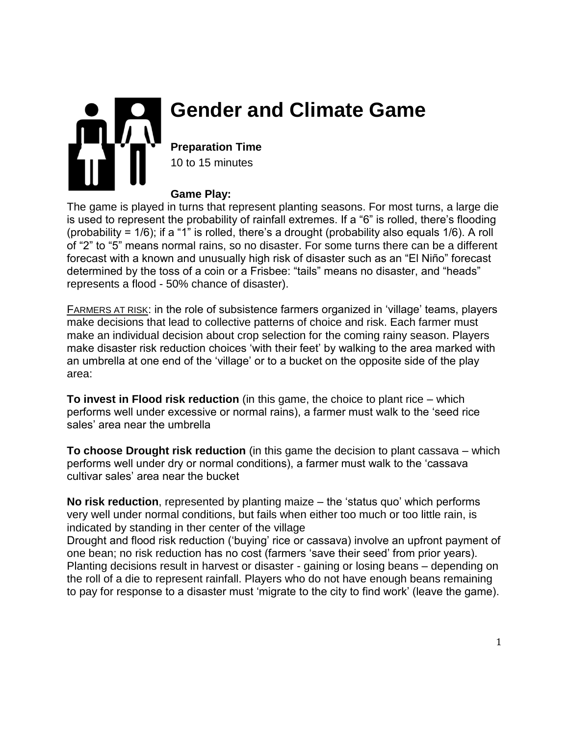

# **Gender and Climate Game**

**Preparation Time** 10 to 15 minutes

#### **Game Play:**

The game is played in turns that represent planting seasons. For most turns, a large die is used to represent the probability of rainfall extremes. If a "6" is rolled, there's flooding (probability = 1/6); if a "1" is rolled, there's a drought (probability also equals 1/6). A roll of "2" to "5" means normal rains, so no disaster. For some turns there can be a different forecast with a known and unusually high risk of disaster such as an "El Niño" forecast determined by the toss of a coin or a Frisbee: "tails" means no disaster, and "heads" represents a flood - 50% chance of disaster).

FARMERS AT RISK: in the role of subsistence farmers organized in 'village' teams, players make decisions that lead to collective patterns of choice and risk. Each farmer must make an individual decision about crop selection for the coming rainy season. Players make disaster risk reduction choices 'with their feet' by walking to the area marked with an umbrella at one end of the 'village' or to a bucket on the opposite side of the play area:

**To invest in Flood risk reduction** (in this game, the choice to plant rice – which performs well under excessive or normal rains), a farmer must walk to the 'seed rice sales' area near the umbrella

**To choose Drought risk reduction** (in this game the decision to plant cassava – which performs well under dry or normal conditions), a farmer must walk to the 'cassava cultivar sales' area near the bucket

**No risk reduction**, represented by planting maize – the 'status quo' which performs very well under normal conditions, but fails when either too much or too little rain, is indicated by standing in ther center of the village

Drought and flood risk reduction ('buying' rice or cassava) involve an upfront payment of one bean; no risk reduction has no cost (farmers 'save their seed' from prior years). Planting decisions result in harvest or disaster - gaining or losing beans – depending on the roll of a die to represent rainfall. Players who do not have enough beans remaining to pay for response to a disaster must 'migrate to the city to find work' (leave the game).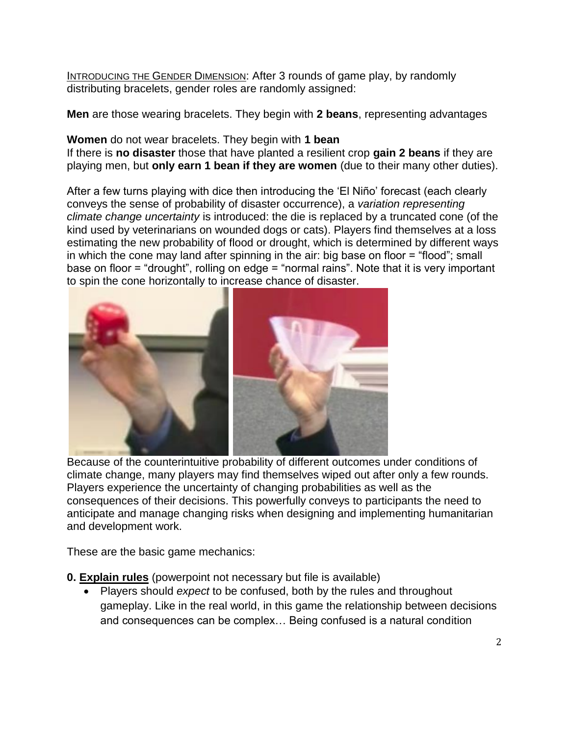INTRODUCING THE GENDER DIMENSION: After 3 rounds of game play, by randomly distributing bracelets, gender roles are randomly assigned:

**Men** are those wearing bracelets. They begin with **2 beans**, representing advantages

**Women** do not wear bracelets. They begin with **1 bean** 

If there is **no disaster** those that have planted a resilient crop **gain 2 beans** if they are playing men, but **only earn 1 bean if they are women** (due to their many other duties).

After a few turns playing with dice then introducing the 'El Niño' forecast (each clearly conveys the sense of probability of disaster occurrence), a *variation representing climate change uncertainty* is introduced: the die is replaced by a truncated cone (of the kind used by veterinarians on wounded dogs or cats). Players find themselves at a loss estimating the new probability of flood or drought, which is determined by different ways in which the cone may land after spinning in the air: big base on floor = "flood"; small base on floor = "drought", rolling on edge = "normal rains". Note that it is very important to spin the cone horizontally to increase chance of disaster.



Because of the counterintuitive probability of different outcomes under conditions of climate change, many players may find themselves wiped out after only a few rounds. Players experience the uncertainty of changing probabilities as well as the consequences of their decisions. This powerfully conveys to participants the need to anticipate and manage changing risks when designing and implementing humanitarian and development work.

These are the basic game mechanics:

- **0. Explain rules** (powerpoint not necessary but file is available)
	- Players should *expect* to be confused, both by the rules and throughout gameplay. Like in the real world, in this game the relationship between decisions and consequences can be complex… Being confused is a natural condition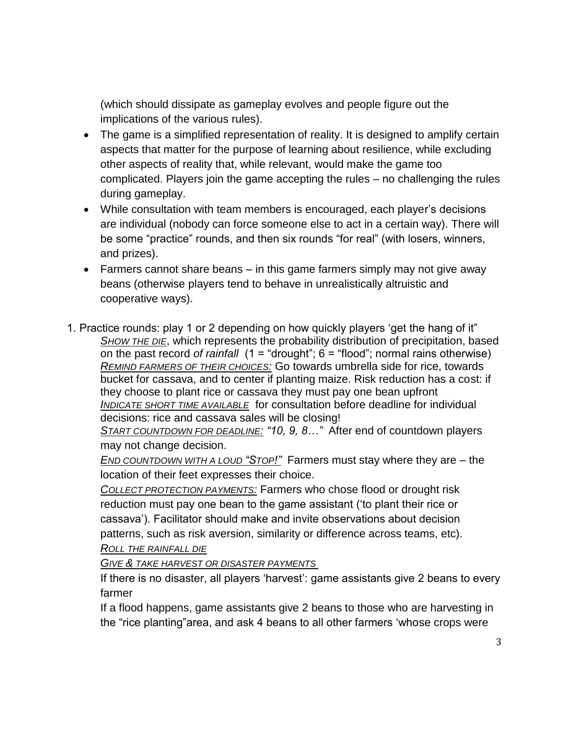(which should dissipate as gameplay evolves and people figure out the implications of the various rules).

- The game is a simplified representation of reality. It is designed to amplify certain aspects that matter for the purpose of learning about resilience, while excluding other aspects of reality that, while relevant, would make the game too complicated. Players join the game accepting the rules – no challenging the rules during gameplay.
- While consultation with team members is encouraged, each player's decisions are individual (nobody can force someone else to act in a certain way). There will be some "practice" rounds, and then six rounds "for real" (with losers, winners, and prizes).
- **Farmers cannot share beans in this game farmers simply may not give away** beans (otherwise players tend to behave in unrealistically altruistic and cooperative ways).
- 1. Practice rounds: play 1 or 2 depending on how quickly players 'get the hang of it" *SHOW THE DIE*, which represents the probability distribution of precipitation, based on the past record *of rainfall* (1 = "drought"; 6 = "flood"; normal rains otherwise) *REMIND FARMERS OF THEIR CHOICES:* Go towards umbrella side for rice, towards bucket for cassava, and to center if planting maize. Risk reduction has a cost: if they choose to plant rice or cassava they must pay one bean upfront *INDICATE SHORT TIME AVAILABLE* for consultation before deadline for individual decisions: rice and cassava sales will be closing! *START COUNTDOWN FOR DEADLINE: "10, 9, 8…"* After end of countdown players

may not change decision.

*END COUNTDOWN WITH A LOUD "STOP!"* Farmers must stay where they are – the location of their feet expresses their choice.

*COLLECT PROTECTION PAYMENTS:* Farmers who chose flood or drought risk reduction must pay one bean to the game assistant ('to plant their rice or cassava'). Facilitator should make and invite observations about decision patterns, such as risk aversion, similarity or difference across teams, etc).

*ROLL THE RAINFALL DIE*

*GIVE & TAKE HARVEST OR DISASTER PAYMENTS* 

If there is no disaster, all players 'harvest': game assistants give 2 beans to every farmer

If a flood happens, game assistants give 2 beans to those who are harvesting in the "rice planting"area, and ask 4 beans to all other farmers 'whose crops were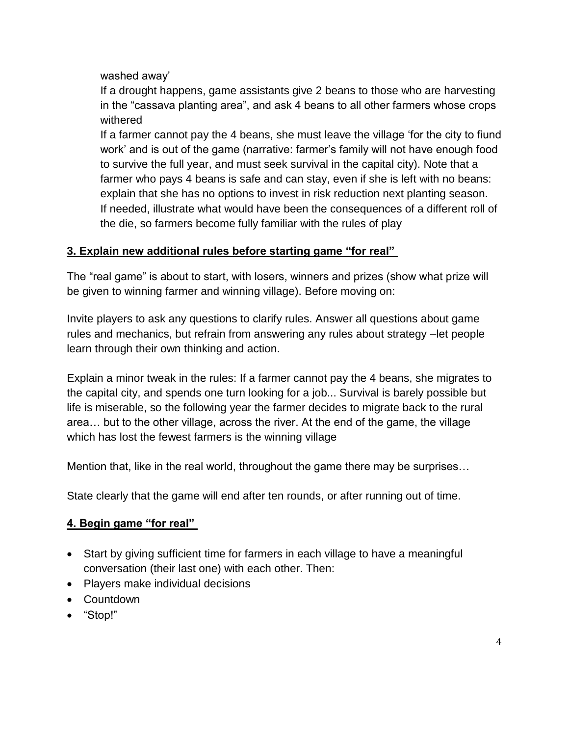washed away'

If a drought happens, game assistants give 2 beans to those who are harvesting in the "cassava planting area", and ask 4 beans to all other farmers whose crops withered

If a farmer cannot pay the 4 beans, she must leave the village 'for the city to fiund work' and is out of the game (narrative: farmer's family will not have enough food to survive the full year, and must seek survival in the capital city). Note that a farmer who pays 4 beans is safe and can stay, even if she is left with no beans: explain that she has no options to invest in risk reduction next planting season. If needed, illustrate what would have been the consequences of a different roll of the die, so farmers become fully familiar with the rules of play

## **3. Explain new additional rules before starting game "for real"**

The "real game" is about to start, with losers, winners and prizes (show what prize will be given to winning farmer and winning village). Before moving on:

Invite players to ask any questions to clarify rules. Answer all questions about game rules and mechanics, but refrain from answering any rules about strategy –let people learn through their own thinking and action.

Explain a minor tweak in the rules: If a farmer cannot pay the 4 beans, she migrates to the capital city, and spends one turn looking for a job... Survival is barely possible but life is miserable, so the following year the farmer decides to migrate back to the rural area… but to the other village, across the river. At the end of the game, the village which has lost the fewest farmers is the winning village

Mention that, like in the real world, throughout the game there may be surprises…

State clearly that the game will end after ten rounds, or after running out of time.

# **4. Begin game "for real"**

- Start by giving sufficient time for farmers in each village to have a meaningful conversation (their last one) with each other. Then:
- Players make individual decisions
- Countdown
- "Stop!"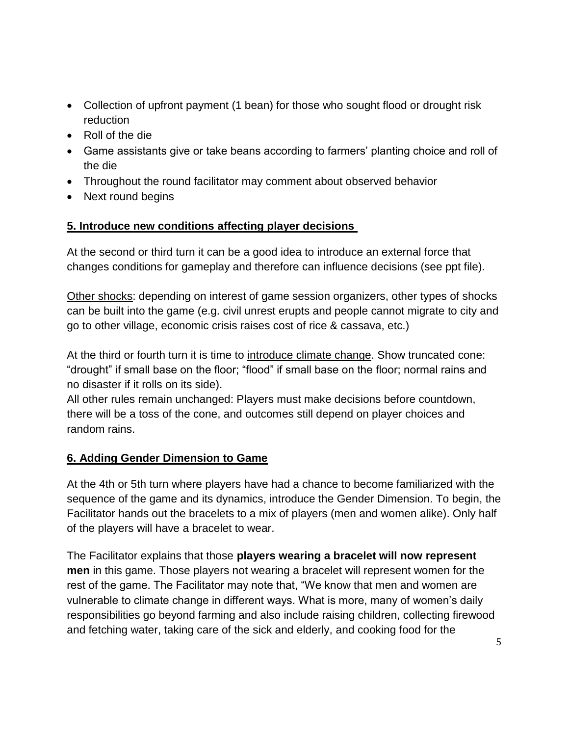- Collection of upfront payment (1 bean) for those who sought flood or drought risk reduction
- Roll of the die
- Game assistants give or take beans according to farmers' planting choice and roll of the die
- Throughout the round facilitator may comment about observed behavior
- Next round begins

## **5. Introduce new conditions affecting player decisions**

At the second or third turn it can be a good idea to introduce an external force that changes conditions for gameplay and therefore can influence decisions (see ppt file).

Other shocks: depending on interest of game session organizers, other types of shocks can be built into the game (e.g. civil unrest erupts and people cannot migrate to city and go to other village, economic crisis raises cost of rice & cassava, etc.)

At the third or fourth turn it is time to introduce climate change. Show truncated cone: "drought" if small base on the floor; "flood" if small base on the floor; normal rains and no disaster if it rolls on its side).

All other rules remain unchanged: Players must make decisions before countdown, there will be a toss of the cone, and outcomes still depend on player choices and random rains.

# **6. Adding Gender Dimension to Game**

At the 4th or 5th turn where players have had a chance to become familiarized with the sequence of the game and its dynamics, introduce the Gender Dimension. To begin, the Facilitator hands out the bracelets to a mix of players (men and women alike). Only half of the players will have a bracelet to wear.

The Facilitator explains that those **players wearing a bracelet will now represent men** in this game. Those players not wearing a bracelet will represent women for the rest of the game. The Facilitator may note that, "We know that men and women are vulnerable to climate change in different ways. What is more, many of women's daily responsibilities go beyond farming and also include raising children, collecting firewood and fetching water, taking care of the sick and elderly, and cooking food for the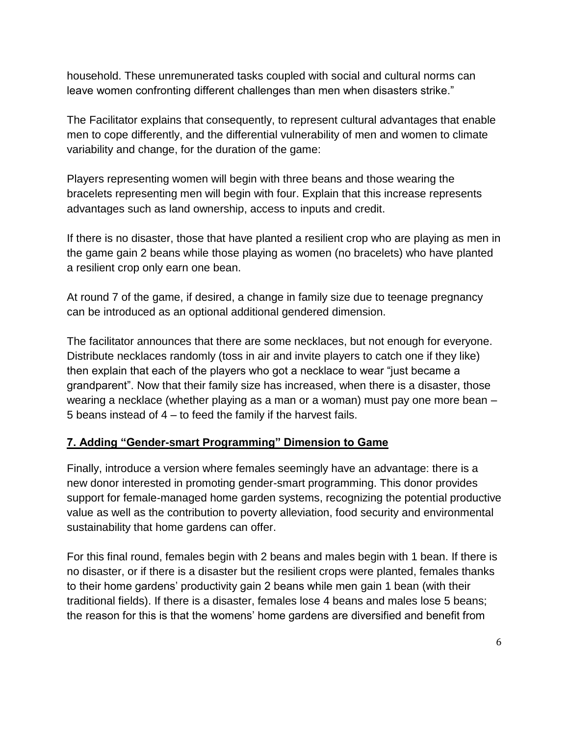household. These unremunerated tasks coupled with social and cultural norms can leave women confronting different challenges than men when disasters strike."

The Facilitator explains that consequently, to represent cultural advantages that enable men to cope differently, and the differential vulnerability of men and women to climate variability and change, for the duration of the game:

Players representing women will begin with three beans and those wearing the bracelets representing men will begin with four. Explain that this increase represents advantages such as land ownership, access to inputs and credit.

If there is no disaster, those that have planted a resilient crop who are playing as men in the game gain 2 beans while those playing as women (no bracelets) who have planted a resilient crop only earn one bean.

At round 7 of the game, if desired, a change in family size due to teenage pregnancy can be introduced as an optional additional gendered dimension.

The facilitator announces that there are some necklaces, but not enough for everyone. Distribute necklaces randomly (toss in air and invite players to catch one if they like) then explain that each of the players who got a necklace to wear "just became a grandparent". Now that their family size has increased, when there is a disaster, those wearing a necklace (whether playing as a man or a woman) must pay one more bean – 5 beans instead of 4 – to feed the family if the harvest fails.

#### **7. Adding "Gender-smart Programming" Dimension to Game**

Finally, introduce a version where females seemingly have an advantage: there is a new donor interested in promoting gender-smart programming. This donor provides support for female-managed home garden systems, recognizing the potential productive value as well as the contribution to poverty alleviation, food security and environmental sustainability that home gardens can offer.

For this final round, females begin with 2 beans and males begin with 1 bean. If there is no disaster, or if there is a disaster but the resilient crops were planted, females thanks to their home gardens' productivity gain 2 beans while men gain 1 bean (with their traditional fields). If there is a disaster, females lose 4 beans and males lose 5 beans; the reason for this is that the womens' home gardens are diversified and benefit from